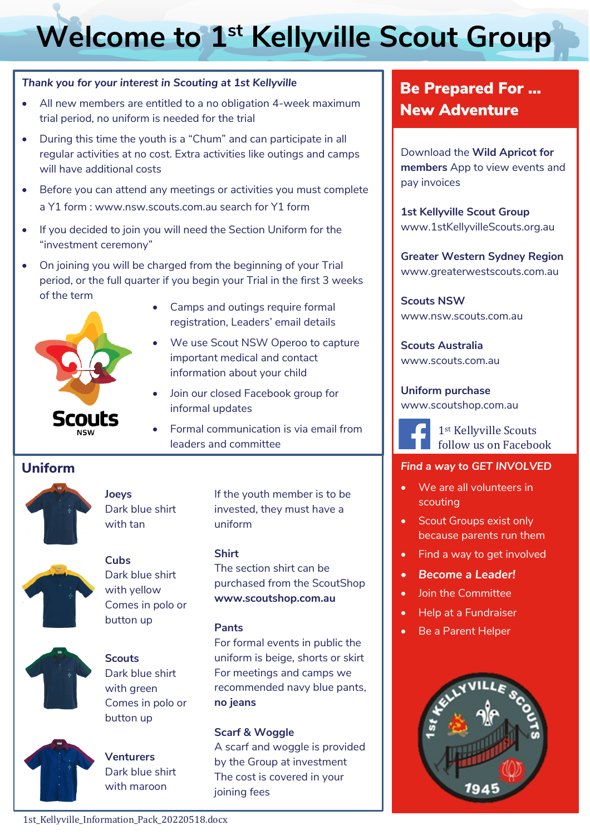# **Welcome to 1st Kellyville Scout Group**

#### *Thank you for your interest in Scouting at 1st Kellyville*

- All new members are entitled to a no obligation 4-week maximum trial period, no uniform is needed for the trial
- During this time the youth is a "Chum" and can participate in all regular activities at no cost. Extra activities like outings and camps will have additional costs
- Before you can attend any meetings or activities you must complete a Y1 form : www.nsw.scouts.com.au search for Y1 form
- If you decided to join you will need the Section Uniform for the "investment ceremony"
- On joining you will be charged from the beginning of your Trial period, or the full quarter if you begin your Trial in the first 3 weeks of the term



- Camps and outings require formal registration, Leaders' email details
- We use Scout NSW Operoo to capture important medical and contact information about your child
- Join our closed Facebook group for informal updates
- Formal communication is via email from leaders and committee

# **Uniform**



**Joeys** Dark blue shirt with tan



**Cubs** Dark blue shirt with yellow



**Scouts** Comes in polo or button up

Dark blue shirt with green Comes in polo or button up



**Venturers** Dark blue shirt with maroon

If the youth member is to be invested, they must have a uniform

#### **Shirt**

The section shirt can be purchased from the ScoutShop **www.scoutshop.com.au**

#### **Pants**

For formal events in public the uniform is beige, shorts or skirt For meetings and camps we recommended navy blue pants, **no jeans**

#### **Scarf & Woggle**

A scarf and woggle is provided by the Group at investment The cost is covered in your joining fees

# Be Prepared For … New Adventure

Download the **Wild Apricot for members** App to view events and pay invoices

**1st Kellyville Scout Group**  www.1stKellyvilleScouts.org.au

**Greater Western Sydney Region**  www.greaterwestscouts.com.au

**Scouts NSW**  www.nsw.scouts.com.au

**Scouts Australia**  www.scouts.com.au

**Uniform purchase**  www.scoutshop.com.au



1st Kellyville Scouts follow us on Facebook

### *Find a way to GET INVOLVED*

- We are all volunteers in scouting
- Scout Groups exist only because parents run them
- Find a way to get involved
- *Become a Leader!*
- Join the Committee
- Help at a Fundraiser
- Be a Parent Helper

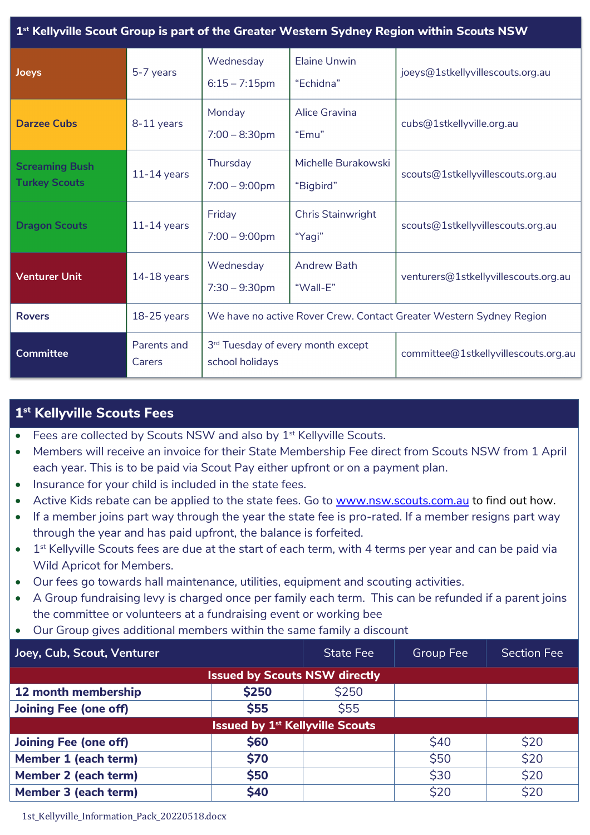| 1 <sup>st</sup> Kellyville Scout Group is part of the Greater Western Sydney Region within Scouts NSW |                       |                                                                     |                                  |                                      |  |  |  |  |
|-------------------------------------------------------------------------------------------------------|-----------------------|---------------------------------------------------------------------|----------------------------------|--------------------------------------|--|--|--|--|
| Joeys                                                                                                 | 5-7 years             | Wednesday<br>$6:15 - 7:15$ pm                                       | Elaine Unwin<br>"Echidna"        | joeys@1stkellyvillescouts.org.au     |  |  |  |  |
| <b>Darzee Cubs</b>                                                                                    | 8-11 years            | Monday<br>$7:00 - 8:30$ pm                                          | Alice Gravina<br>"Emu"           | cubs@1stkellyville.org.au            |  |  |  |  |
| <b>Screaming Bush</b><br><b>Turkey Scouts</b>                                                         | $11-14$ years         | Thursday<br>$7:00 - 9:00$ pm                                        | Michelle Burakowski<br>"Bigbird" | scouts@1stkellyvillescouts.org.au    |  |  |  |  |
| <b>Dragon Scouts</b>                                                                                  | $11-14$ years         | Friday<br>$7:00 - 9:00$ pm                                          | Chris Stainwright<br>"Yagi"      | scouts@1stkellyvillescouts.org.au    |  |  |  |  |
| <b>Venturer Unit</b>                                                                                  | $14-18$ years         | Wednesday<br>$7:30 - 9:30$ pm                                       | <b>Andrew Bath</b><br>"Wall-E"   | venturers@1stkellyvillescouts.org.au |  |  |  |  |
| <b>Rovers</b>                                                                                         | $18-25$ years         | We have no active Rover Crew. Contact Greater Western Sydney Region |                                  |                                      |  |  |  |  |
| <b>Committee</b>                                                                                      | Parents and<br>Carers | 3rd Tuesday of every month except<br>school holidays                |                                  | committee@1stkellyvillescouts.org.au |  |  |  |  |

# **1st Kellyville Scouts Fees**

- Fees are collected by Scouts NSW and also by  $1<sup>st</sup>$  Kellyville Scouts.
- Members will receive an invoice for their State Membership Fee direct from Scouts NSW from 1 April each year. This is to be paid via Scout Pay either upfront or on a payment plan.
- Insurance for your child is included in the state fees.
- Active Kids rebate can be applied to the state fees. Go to www.nsw.scouts.com.au to find out how.
- If a member joins part way through the year the state fee is pro-rated. If a member resigns part way through the year and has paid upfront, the balance is forfeited.
- 1<sup>st</sup> Kellyville Scouts fees are due at the start of each term, with 4 terms per year and can be paid via Wild Apricot for Members.
- Our fees go towards hall maintenance, utilities, equipment and scouting activities.
- A Group fundraising levy is charged once per family each term. This can be refunded if a parent joins the committee or volunteers at a fundraising event or working bee
- Our Group gives additional members within the same family a discount

| Joey, Cub, Scout, Venturer             |             | <b>State Fee</b> | Group Fee | <b>Section Fee</b> |  |  |  |
|----------------------------------------|-------------|------------------|-----------|--------------------|--|--|--|
| <b>Issued by Scouts NSW directly</b>   |             |                  |           |                    |  |  |  |
| 12 month membership                    | \$250       | \$250            |           |                    |  |  |  |
| <b>Joining Fee (one off)</b>           | <b>\$55</b> | \$55             |           |                    |  |  |  |
| <b>Issued by 1st Kellyville Scouts</b> |             |                  |           |                    |  |  |  |
| <b>Joining Fee (one off)</b>           | \$60        |                  | \$40      | \$20               |  |  |  |
| Member 1 (each term)                   | <b>\$70</b> |                  | \$50      | \$20               |  |  |  |
| \$50<br><b>Member 2 (each term)</b>    |             |                  | \$30      | \$20               |  |  |  |
| Member 3 (each term)                   | \$40        |                  | \$20      | \$20               |  |  |  |

1st\_Kellyville\_Information\_Pack\_20220518.docx